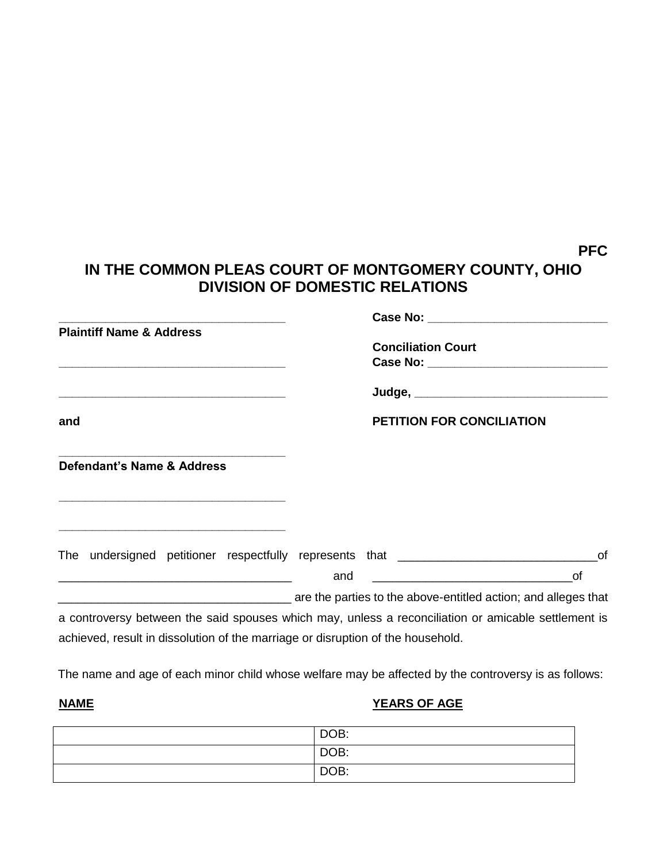## **PFC**

## **IN THE COMMON PLEAS COURT OF MONTGOMERY COUNTY, OHIO DIVISION OF DOMESTIC RELATIONS**

| <b>Plaintiff Name &amp; Address</b><br><u> Andreas Andrews Andrews Andrews Andrews Andrews Andrews Andrews Andrews Andrews Andrews Andrews Andrews Andrew</u> |     | <b>Conciliation Court</b>        |
|---------------------------------------------------------------------------------------------------------------------------------------------------------------|-----|----------------------------------|
|                                                                                                                                                               |     |                                  |
| and                                                                                                                                                           |     | <b>PETITION FOR CONCILIATION</b> |
| Defendant's Name & Address                                                                                                                                    |     |                                  |
| The undersigned petitioner respectfully represents that ________________________                                                                              |     | 0f                               |
|                                                                                                                                                               | and |                                  |
| are the parties to the above-entitled action; and alleges that                                                                                                |     |                                  |
| a controversy between the said spouses which may, unless a reconciliation or amicable settlement is                                                           |     |                                  |
| achieved, result in dissolution of the marriage or disruption of the household.                                                                               |     |                                  |

The name and age of each minor child whose welfare may be affected by the controversy is as follows:

## **NAME YEARS OF AGE**

| DOB: |
|------|
| DOB: |
| DOB: |